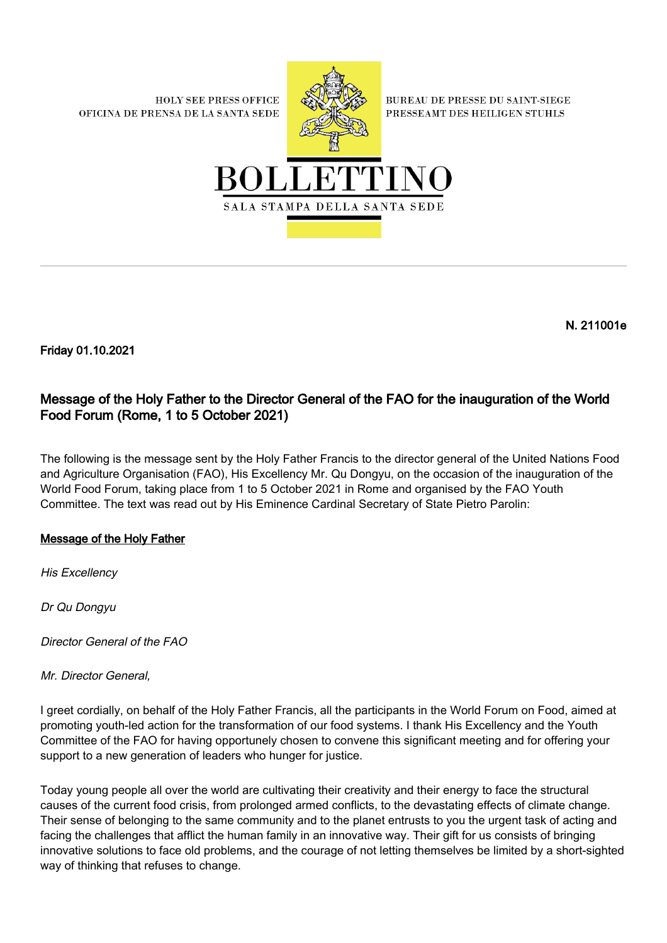**HOLY SEE PRESS OFFICE** OFICINA DE PRENSA DE LA SANTA SEDE



**BUREAU DE PRESSE DU SAINT-SIEGE** PRESSEAMT DES HEILIGEN STUHLS



N. 211001e

Friday 01.10.2021

## Message of the Holy Father to the Director General of the FAO for the inauguration of the World Food Forum (Rome, 1 to 5 October 2021)

The following is the message sent by the Holy Father Francis to the director general of the United Nations Food and Agriculture Organisation (FAO), His Excellency Mr. Qu Dongyu, on the occasion of the inauguration of the World Food Forum, taking place from 1 to 5 October 2021 in Rome and organised by the FAO Youth Committee. The text was read out by His Eminence Cardinal Secretary of State Pietro Parolin:

## Message of the Holy Father

His Excellency

Dr Qu Dongyu

Director General of the FAO

Mr. Director General,

I greet cordially, on behalf of the Holy Father Francis, all the participants in the World Forum on Food, aimed at promoting youth-led action for the transformation of our food systems. I thank His Excellency and the Youth Committee of the FAO for having opportunely chosen to convene this significant meeting and for offering your support to a new generation of leaders who hunger for justice.

Today young people all over the world are cultivating their creativity and their energy to face the structural causes of the current food crisis, from prolonged armed conflicts, to the devastating effects of climate change. Their sense of belonging to the same community and to the planet entrusts to you the urgent task of acting and facing the challenges that afflict the human family in an innovative way. Their gift for us consists of bringing innovative solutions to face old problems, and the courage of not letting themselves be limited by a short-sighted way of thinking that refuses to change.